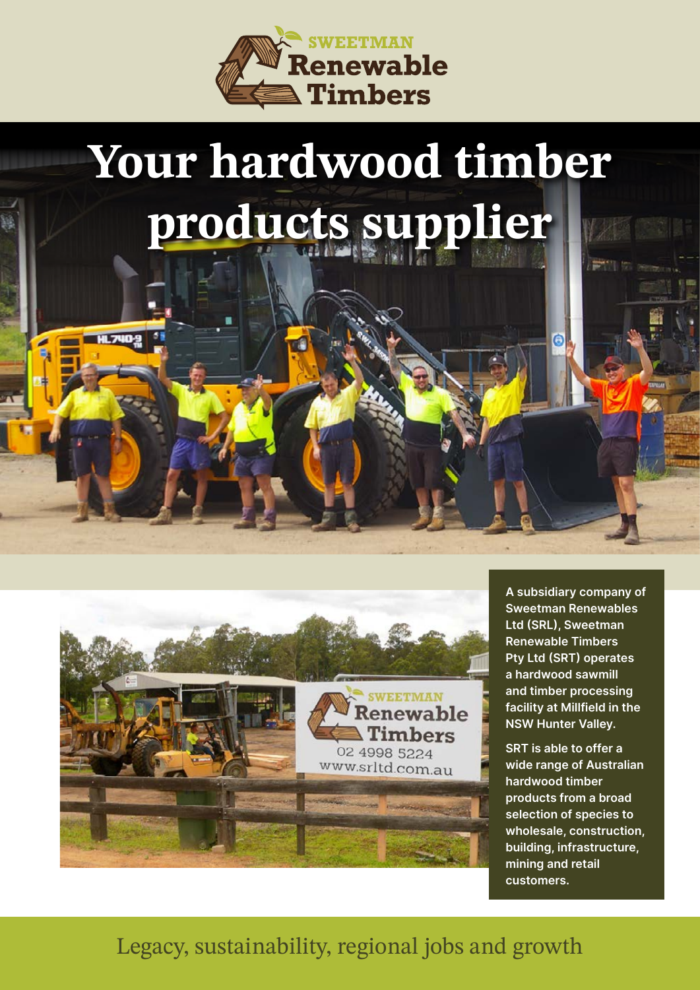

## **Your hardwood timber products supplier**



A subsidiary company of Sweetman Renewables Ltd (SRL), Sweetman Renewable Timbers Pty Ltd (SRT) operates a hardwood sawmill and timber processing facility at Millfield in the NSW Hunter Valley.

Ġ

SRT is able to offer a wide range of Australian hardwood timber products from a broad selection of species to wholesale, construction, building, infrastructure, mining and retail customers.

## Legacy, sustainability, regional jobs and growth